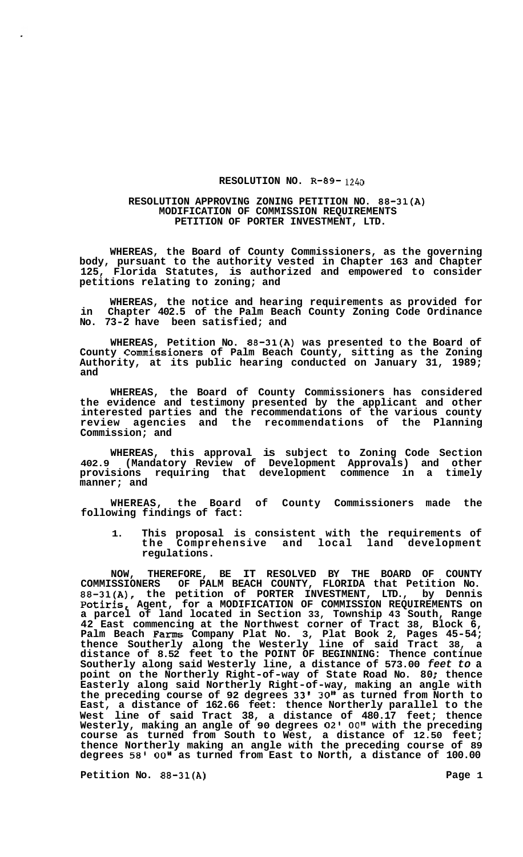## **RESOLUTION NO. R-89-** 1240

## **RESOLUTION APPROVING ZONING PETITION NO. 88-31(A) MODIFICATION OF COMMISSION REQUIREMENTS PETITION OF PORTER INVESTMENT, LTD.**

**WHEREAS, the Board of County Commissioners, as the governing body, pursuant to the authority vested in Chapter 163 and Chapter 125, Florida Statutes, is authorized and empowered to consider petitions relating to zoning; and** 

**WHEREAS, the notice and hearing requirements as provided for in Chapter 402.5 of the Palm Beach County Zoning Code Ordinance No. 73-2 have been satisfied; and** 

**WHEREAS, Petition No. 88-31(A) was presented to the Board of County Commissioners of Palm Beach County, sitting as the Zoning Authority, at its public hearing conducted on January 31, 1989; and** 

**WHEREAS, the Board of County Commissioners has considered the evidence and testimony presented by the applicant and other interested parties and the recommendations of the various county review agencies and the recommendations of the Planning Commission; and** 

**WHEREAS, this approval is subject to Zoning Code Section 402.9 (Mandatory Review of Development Approvals) and other provisions requiring that development commence in a timely manner; and** 

**WHEREAS, the Board of County Commissioners made the following findings of fact:** 

**1. This proposal is consistent with the requirements of the Comprehensive and local land development regulations.** 

**NOW, THEREFORE, BE IT RESOLVED BY THE BOARD OF COUNTY COMMISSIONERS OF PALM BEACH COUNTY, FLORIDA that Petition No. 88-31(A), the petition of PORTER INVESTMENT, LTD., by Dennis Potiris, Agent, for a MODIFICATION OF COMMISSION REQUIREMENTS on a parcel of land located in Section 33, Township 43 South, Range 42 East commencing at the Northwest corner of Tract 38, Block 6, Palm Beach Farms Company Plat No. 3, Plat Book 2, Pages 45-54; thence Southerly along the Westerly line of said Tract 38, a distance of 8.52 feet to the POINT OF BEGINNING: Thence continue Southerly along said Westerly line, a distance of 573.00** *feet to* **a**  Southerly along said Westerly line, a distance of 573.00 feet to a<br>point on the Northerly Right-of-way of State Road No. 80; thence **Easterly along said Northerly Right-of-way, making an angle with the preceding course of 92 degrees 33' 30" as turned from North to East, a distance of 162.66 feet: thence Northerly parallel to the West line of said Tract 38, a distance of 480.17 feet; thence Westerly, making an angle of 90 degrees 02' OOII with the preceding course as turned from South to West, a distance of 12.50 feet; thence Northerly making an angle with the preceding course of 89**  degrees 58' 00" as turned from East to North, a distance of 100.00

**Petition No. 88-31(A)** Page 1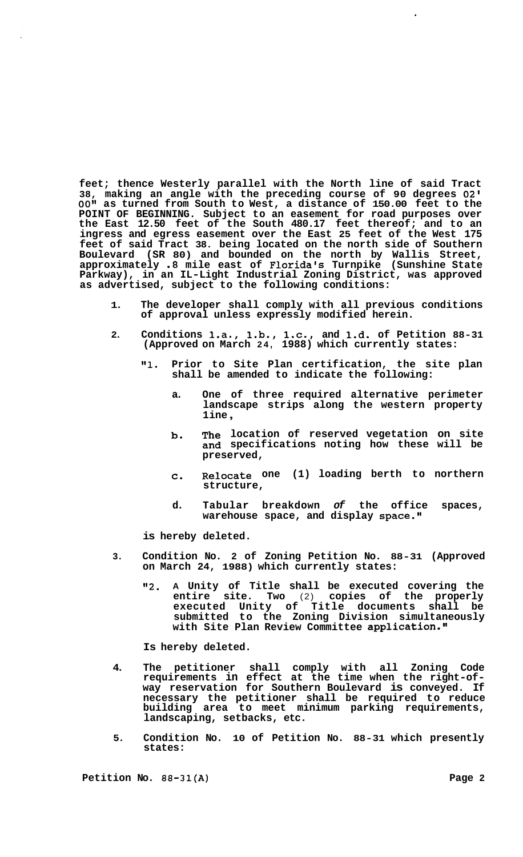**feet; thence Westerly parallel with the North line of said Tract 38, making an angle with the preceding course of 90 degrees** *02' 00"* **as turned from South to West, a distance of 150.00 feet to the POINT OF BEGINNING. Subject to an easement for road purposes over the East 12.50 feet of the South 480.17 feet thereof; and to an ingress and egress easement over the East 25 feet of the West 175 feet of said Tract 38. being located on the north side of Southern Boulevard (SR 80) and bounded on the north by Wallis Street, approximately** *.8* **mile east of Florida's Turnpike (Sunshine State Parkway), in an IL-Light Industrial Zoning District, was approved as advertised, subject to the following conditions:** 

- **1. The developer shall comply with all previous conditions of approval unless expressly modified herein.**
- **2. Conditions l.a., l.b., l.c., and 1.d. of Petition 88-31 (Approved on March 24, 1988) which currently states:** 
	- **Ill. Prior to Site Plan certification, the site plan shall be amended to indicate the following:** 
		- **a. One of three required alternative perimeter landscape strips along the western property 1 ine** ,
		- **b. The location of reserved vegetation on site and specifications noting how these will be preserved,**
		- **C. Relocate one (1) loading berth to northern structure,**
		- **d. Tabular breakdown** *of* **the office spaces, warehouse space, and display space.''**

**is hereby deleted.** 

- **3. Condition No. 2 of Zoning Petition No. 88-31 (Approved on March 24, 1988) which currently states:** 
	- **Iv2. A Unity of Title shall be executed covering the entire site. Two** (2) **copies of the properly executed Unity of Title documents shall be submitted to the Zoning Division simultaneously**  with Site Plan Review Committee application."

**Is hereby deleted.** 

- **4. The petitioner shall comply with all Zoning Code requirements in effect at the time when the right-of- way reservation for Southern Boulevard is conveyed. If necessary the petitioner shall be required to reduce building area to meet minimum parking requirements, landscaping, setbacks, etc.**
- **5. Condition No. 10 of Petition No. 88-31 which presently states:**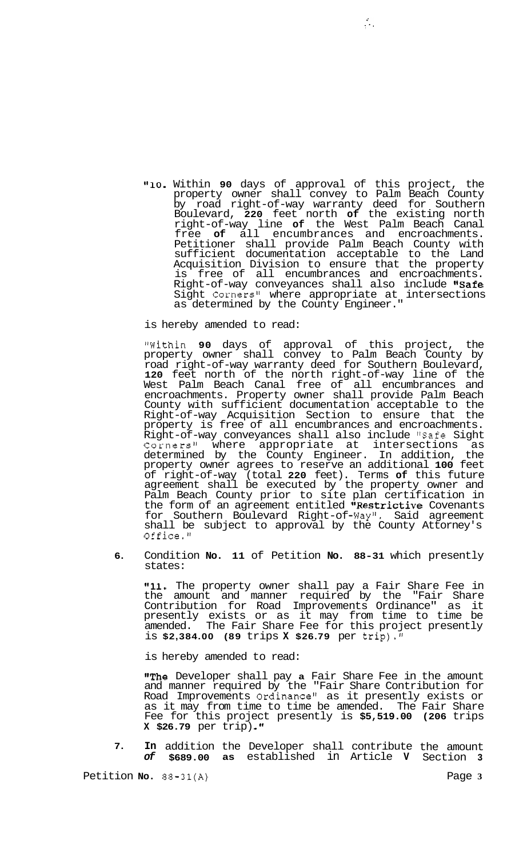**l11O.** Within **90** days of approval of this project, the property owner shall convey to Palm Beach County by road right-of-way warranty deed for Southern Boulevard, **220** feet north **of** the existing north right-of-way line **of** the West Palm Beach Canal free **of** all encumbrances and encroachments. Petitioner shall provide Palm Beach County with sufficient documentation acceptable to the Land Acquisition Division to ensure that the property is free of all encumbrances and encroachments. Right-of-way conveyances shall also include "Safe Sight Corners<sup>11</sup> where appropriate at intersections as determined by the County Engineer."

 $\mathcal{L}_{\mathcal{A}}$ 

is hereby amended to read:

"Within **90** days of approval of this project, the property owner shall convey to Palm Beach County by road right-of-way warranty deed for Southern Boulevard, **120** feet north of the north right-of-way line of the West Palm Beach Canal free of all encumbrances and encroachments. Property owner shall provide Palm Beach County with sufficient documentation acceptable to the Right-of-way Acquisition Section to ensure that the property is free of all encumbrances and encroachments. Right-of-way conveyances shall also include "Safe Sight Corners" where appropriate at intersections as determined by the County Engineer. In addition, the property owner agrees to reserve an additional **100** feet of right-of-way (total **220** feet). Terms **of** this future agreement shall be executed by the property owner and Palm Beach County prior to site plan certification in the form of an agreement entitled "Restrictive Covenants for Southern Boulevard Right-of-Way". Said agreement shall be subject to approval by the County Attorney's Office."

**6.** Condition **No. 11** of Petition **No. 88-31** which presently states:

Condition **No. 11** of Petition **No. 88-31** which presently<br>states:<br>"11. The property owner shall pay a Fair Share Fee in<br>the amount and manner required by the "Fair Share Contribution for Road Improvements Ordinance" as it presently exists or as it may from time to time be amended. The Fair Share Fee for this project presently is **\$2,384.00 (89** trips **X \$26.79** per trip)."

is hereby amended to read:

"The Developer shall pay **a** Fair Share Fee in the amount and manner required by the "Fair Share Contribution for Road Improvements Ordinance" as it presently exists or as it may from time to time be amended. The Fair Share Fee for this project presently is **\$5,519.00 (206** trips **X \$26.79** per trip) **.If** 

**7. In** addition the Developer shall contribute the amount *of* **\$689.00 as** established in Article **V** Section **3** 

Petition **No. 88-31(A)** Page **3**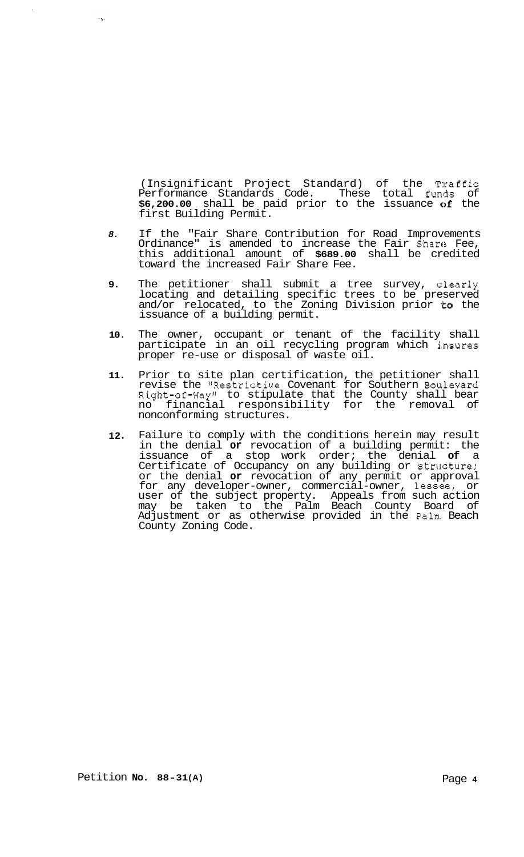(Insignificant Project Standard) of the Traffic Performance Standards Code. These total funds of **\$6,200.00** shall be paid prior to the issuance of the first Building Permit.

- *8.* If the "Fair Share Contribution for Road Improvements Ordinance" is amended to increase the Fair Share Fee, this additional amount of **\$689.00** shall be credited toward the increased Fair Share Fee.
- **9.** The petitioner shall submit a tree survey, dearly locating and detailing specific trees to be preserved and/or relocated, to the Zoning Division prior to the issuance of a building permit.
- **10.** The owner, occupant or tenant of the facility shall participate in an oil recycling program which i.nsures proper re-use or disposal of waste oil.
- **11.** Prior to site plan certification, the petitioner shall revise the "Restrictive Covenant for Southern Boulevard Right-of-Way" to stipulate that the County shall bear no financial responsibility for the removal of nonconforming structures.
- **12** Failure to comply with the conditions herein may result in the denial **or** revocation of a building permit: the issuance of a stop work order; the denial **of** a Certificate of Occupancy on any building or structure; or the denial **or** revocation of any permit or approval for any developer-owner, commercial-owner, lessee, or user of the subject property. Appeals from such action may be taken to the Palm Beach County Board of Adjustment or as otherwise provided in the Palm Beach County Zoning Code.

 $\sim 100$